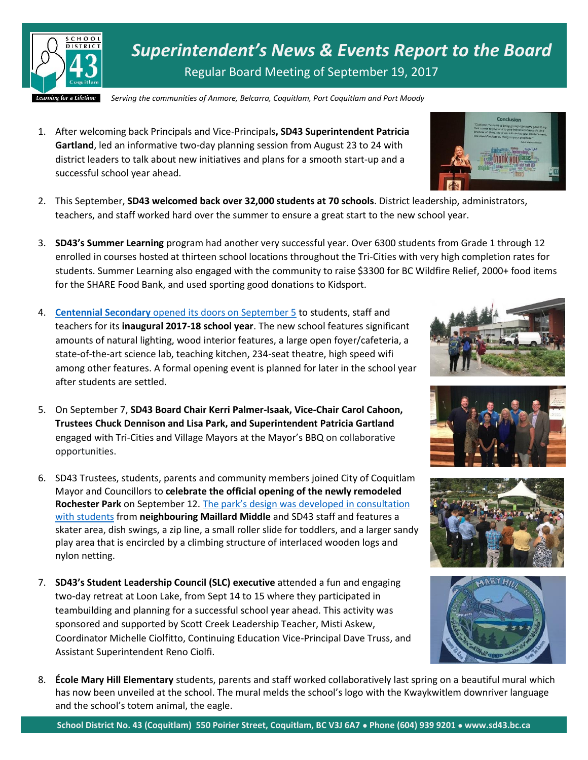

*Superintendent's News & Events Report to the Board* Regular Board Meeting of September 19, 2017

*Serving the communities of Anmore, Belcarra, Coquitlam, Port Coquitlam and Port Moody*

- 1. After welcoming back Principals and Vice-Principals**, SD43 Superintendent Patricia Gartland**, led an informative two-day planning session from August 23 to 24 with district leaders to talk about new initiatives and plans for a smooth start-up and a successful school year ahead.
- 2. This September, **SD43 welcomed back over 32,000 students at 70 schools**. District leadership, administrators, teachers, and staff worked hard over the summer to ensure a great start to the new school year.
- 3. **SD43's Summer Learning** program had another very successful year. Over 6300 students from Grade 1 through 12 enrolled in courses hosted at thirteen school locations throughout the Tri-Cities with very high completion rates for students. Summer Learning also engaged with the community to raise \$3300 for BC Wildfire Relief, 2000+ food items for the SHARE Food Bank, and used sporting good donations to Kidsport.
- 4. **Centennial Secondary** [opened its doors on September 5](http://www.sd43.bc.ca/Pages/newsitem.aspx?ItemID=135&ListID=c4134e88-bc0d-484f-9d4d-93c69db7f94f&TemplateID=Announcement_Item) to students, staff and teachers for its **inaugural 2017-18 school year**. The new school features significant amounts of natural lighting, wood interior features, a large open foyer/cafeteria, a state-of-the-art science lab, teaching kitchen, 234-seat theatre, high speed wifi among other features. A formal opening event is planned for later in the school year after students are settled.
- 5. On September 7, **SD43 Board Chair Kerri Palmer-Isaak, Vice-Chair Carol Cahoon, Trustees Chuck Dennison and Lisa Park, and Superintendent Patricia Gartland** engaged with Tri-Cities and Village Mayors at the Mayor's BBQ on collaborative opportunities.
- 6. SD43 Trustees, students, parents and community members joined City of Coquitlam Mayor and Councillors to **celebrate the official opening of the newly remodeled Rochester Park** on September 12. [The park's design was developed in consultation](http://www.tricitynews.com/news/kids-help-breathe-new-life-into-rochester-park-1.22444979)  [with students](http://www.tricitynews.com/news/kids-help-breathe-new-life-into-rochester-park-1.22444979) from **neighbouring Maillard Middle** and SD43 staff and features a skater area, dish swings, a zip line, a small roller slide for toddlers, and a larger sandy play area that is encircled by a climbing structure of interlaced wooden logs and nylon netting.
- 7. **SD43's Student Leadership Council (SLC) executive** attended a fun and engaging two-day retreat at Loon Lake, from Sept 14 to 15 where they participated in teambuilding and planning for a successful school year ahead. This activity was sponsored and supported by Scott Creek Leadership Teacher, Misti Askew, Coordinator Michelle Ciolfitto, Continuing Education Vice-Principal Dave Truss, and Assistant Superintendent Reno Ciolfi.
- 8. **École Mary Hill Elementary** students, parents and staff worked collaboratively last spring on a beautiful mural which has now been unveiled at the school. The mural melds the school's logo with the Kwaykwitlem downriver language and the school's totem animal, the eagle.